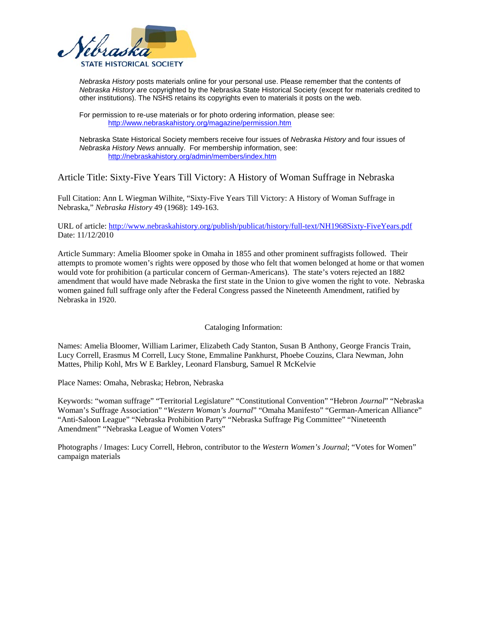

*Nebraska History* posts materials online for your personal use. Please remember that the contents of *Nebraska History* are copyrighted by the Nebraska State Historical Society (except for materials credited to other institutions). The NSHS retains its copyrights even to materials it posts on the web.

For permission to re-use materials or for photo ordering information, please see: <http://www.nebraskahistory.org/magazine/permission.htm>

Nebraska State Historical Society members receive four issues of *Nebraska History* and four issues of *Nebraska History News* annually. For membership information, see: <http://nebraskahistory.org/admin/members/index.htm>

## Article Title: Sixty-Five Years Till Victory: A History of Woman Suffrage in Nebraska

Full Citation: Ann L Wiegman Wilhite, "Sixty-Five Years Till Victory: A History of Woman Suffrage in Nebraska," *Nebraska History* 49 (1968): 149-163.

URL of article: <http://www.nebraskahistory.org/publish/publicat/history/full-text/NH1968Sixty-FiveYears.pdf> Date: 11/12/2010

Article Summary: Amelia Bloomer spoke in Omaha in 1855 and other prominent suffragists followed. Their attempts to promote women's rights were opposed by those who felt that women belonged at home or that women would vote for prohibition (a particular concern of German-Americans). The state's voters rejected an 1882 amendment that would have made Nebraska the first state in the Union to give women the right to vote. Nebraska women gained full suffrage only after the Federal Congress passed the Nineteenth Amendment, ratified by Nebraska in 1920.

Cataloging Information:

Names: Amelia Bloomer, William Larimer, Elizabeth Cady Stanton, Susan B Anthony, George Francis Train, Lucy Correll, Erasmus M Correll, Lucy Stone, Emmaline Pankhurst, Phoebe Couzins, Clara Newman, John Mattes, Philip Kohl, Mrs W E Barkley, Leonard Flansburg, Samuel R McKelvie

Place Names: Omaha, Nebraska; Hebron, Nebraska

Keywords: "woman suffrage" "Territorial Legislature" "Constitutional Convention" "Hebron *Journal*" "Nebraska Woman's Suffrage Association" "*Western Woman's Journal*" "Omaha Manifesto" "German-American Alliance" "Anti-Saloon League" "Nebraska Prohibition Party" "Nebraska Suffrage Pig Committee" "Nineteenth Amendment" "Nebraska League of Women Voters"

Photographs / Images: Lucy Correll, Hebron, contributor to the *Western Women's Journal*; "Votes for Women" campaign materials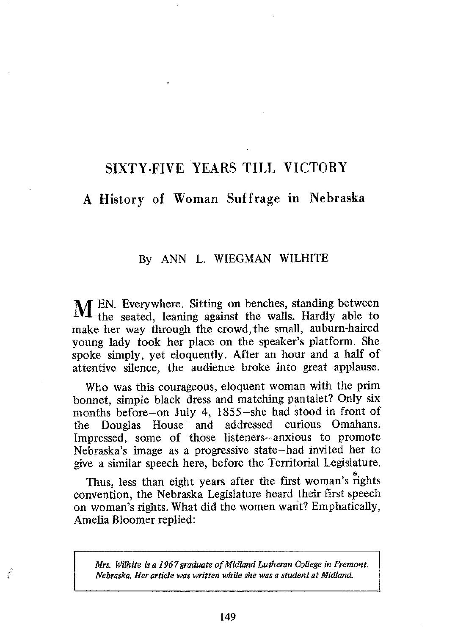# SIXTY·FIVE YEARS TILL VICTORY

## A History of Woman Suffrage in Nebraska

# By ANN L. WIEGMAN WILHITE

M EN. Everywhere. Sitting on benches, standing between the seated, leaning against the walls. Hardly able to make her way through the crowd, the small, auburn-haired young lady took her place on the speaker's platform. She spoke simply, yet eloquently. After an hour and a half of attentive silence, the audience broke into great applause.

Who was this courageous, eloquent woman with the prim bonnet, simple black dress and matching pantalet? Only six months before-on July 4, l855-she had stood in front of the Douglas House and addressed curious Omahans. Impressed, some of those listeners-anxious to promote Nebraska's image as a progressive state-had invited her to give a similar speech here, before the Territorial Legislature.

Thus, less than eight years after the first woman's rights convention, the Nebraska Legislature heard their first speech on woman's rights. What did the women want? Emphatically, Amelia Bloomer replied:

*Mrs. Wilhite is a 1967 graduate of Midland Lutheran College in Fremont, Nebraska. Herarticlewaswritten while she wasa student at Midland.* 

f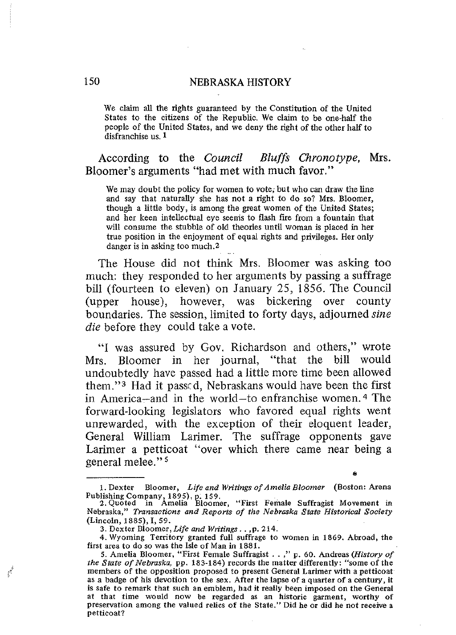We claim all the rights guaranteed by the Constitution of the United States to the citizens of the Republic. We claim to be one-half the people of the United States, and we deny the right of the other half to disfranchise us. 1

According to the *Council Bluffs Chronotype,* Mrs. Bloomer's arguments "had met with much favor."

We may doubt the policy for women to vote; but who can draw the line and say that naturally she has not a right to do so? Mrs. Bloomer, though a little body, is among the great women of the United States; and her keen intellectual eye seems to flash fire from a fountain that will consume the stubble of old theories until woman is placed in her true position in the enjoyment of equal rights and privileges. Her only danger is in asking too much.<sup>2</sup>

The House did not think Mrs. Bloomer was asking too much: they responded to her arguments by passing a suffrage bill (fourteen to eleven) on January 25, 1856. The Council (upper house), however, was bickering over county boundaries. The session, limited to forty days, adjourned *sine die* before they could take a vote.

"I was assured by Gov. Richardson and others," wrote Mrs. Bloomer in her journal, "that the bill would undoubtedly have passed had a little more time been allowed them."> Had it passed, Nebraskans would have been the first in America-and in the world-to enfranchise women. 4 The forward-looking legislators who favored equal rights went unrewarded, with the exception of their eloquent leader, General William Larimer. The suffrage opponents gave Larimer a petticoat "over which there came near being a general melee." 5 •

قفيتي

<sup>1.</sup> Dexter Bloomer. *Life and Writings of Amelia Bloomer* (Boston: Arena

Publishing Company, 1895), p. 159. 2. Quoted in Amelia Bloomer, "First Female Suffragist Movement in Nebraska," *Transactions and Reports of the Nebraska State Historical Society*  (Lincoln, 1885), I, 59.

<sup>3.</sup> Dexter Bloomer, *Life and Writings .* . .p. 214.

<sup>4.</sup> Wyoming Territory granted full suffrage to women in 1869. Abroad, the first area to do so was the Isle of Man in 1881.

<sup>5.</sup> Amelia Bloomer, "First Female Suffragist .. ," p. 60. Andreas *(History of the State of Nebraska,* pp. 183-184) records the matter differently: "some of the members of the opposition proposed to present General Larimer with a petticoat as a badge of his devotion to the sex. After the lapse of a quarter of a century, it is safe to remark that such an emblem, had it really been imposed on the General at that time would now be regarded as an historic garment, worthy of preservation among the valued relics of the State." Did he or did he not receive a petticoat?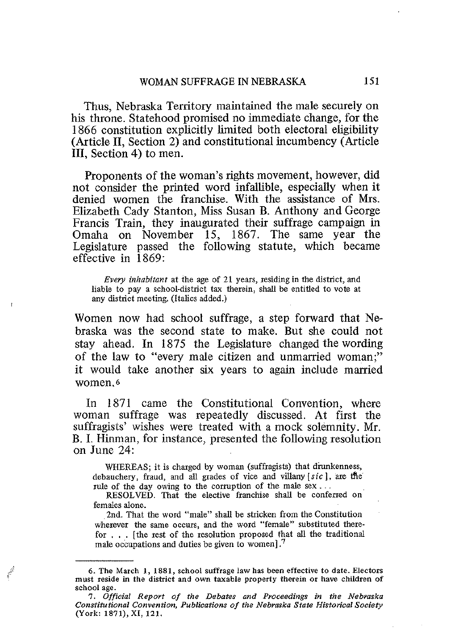Thus, Nebraska Territory maintained the male securely on his throne. Statehood promised no immediate change, for the 1866 constitution explicitly limited both electoral eligibility (Article II, Section 2) and constitutional incumbency (Article III, Section 4) to men.

Proponents of the woman's rights movement, however, did not consider the printed word infallible, especially when it denied women the franchise. With the assistance of Mrs. Elizabeth Cady Stanton, Miss Susan B. Anthony and George Francis Train, they inaugurated their suffrage campaign in Omaha on November IS, 1867. The same year the Legislature passed the following statute, which became effective in 1869:

*Every inhabitant* at the age of 21 years, residing in the district, and liable to pay a school-district tax therein, shall be entitled to vote at any district meeting. (Italics added.)

Women now had school suffrage, a step forward that Nebraska was the second state to make. But she could not stay ahead. In 1875 the Legislature changed the wording of the law to "every male citizen and unmarried woman;" it would take another six years to again include married women.<sup>6</sup>

In 1871 came the Constitutional Convention, where woman suffrage was repeatedly discussed. At first the suffragists' wishes were treated with a mock solemnity. Mr. B. I. Hinman, for instance, presented the following resolution on June 24:

WHEREAS; it is charged by woman (suffragists) that drunkenness, debauchery, fraud, and all grades of vice and villany  $[sic]$ , are the rule of the day owing to the corruption of the male  $sex...$ 

RESOLVED. That the elective franchise shall be conferred on females alone.

.2nd. That the word "male" shall be stricken from the Constitution wherever the same occurs, and the word "female" substituted therefor ... [the rest of the resolution proposed that all the traditional male occupations and duties be given to women].<sup>7</sup>

<sup>6.</sup> The March 1, 1881, school suffrage law has been effective to date. Electors must reside **in** the district and own taxable property therein or have children of school age.

*<sup>7.</sup> Official Report of the Debates and Proceedings in the Nebraska Constitutional Convention, Publications of the Nebraska State Historical Society*  (York: 1871), XI, 121.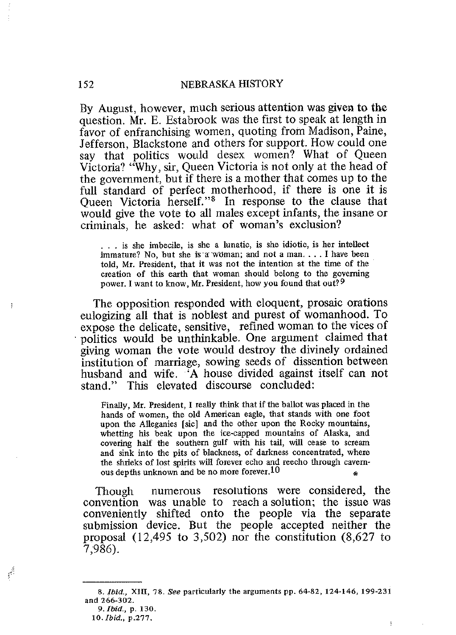By August, however, much serious attention was given to the question. Mr. E. Estabrook was the first to speak at length in favor of enfranchising women, quoting from Madison, Paine, Jefferson, Blackstone and others for support. How could one say that politics would desex women? What of Oueen Victoria? "Why, sir, Queen Victoria is not only at the head of the government, but if there is a mother that comes up to the full standard of perfect motherhood, if there is one it is Queen Victoria herself."<sup>8</sup> In response to the clause that would give the vote to all males except infants, the insane or criminals, he asked: what of woman's exclusion?

. **. is she imbecile, is she a lunatic, is she idiotic, is her intellect immature? No, but she** js-a woman; **and not a man.... I have been told, Mr. President, that it was not the intention at the time of the creation of this earth that woman should belong to the governing power. I want to know, Mr. President, how you found that** out? 9

The opposition responded with eloquent, prosaic orations eulogizing all that is noblest and purest of womanhood. To expose the delicate, sensitive, refined woman to the vices of . politics would be unthinkable. One argument claimed that giving woman the vote would destroy the divinely ordained institution of marriage, sowing seeds of dissention between husband and wife. 'A house divided against itself can not stand." This elevated discourse concluded:

**Finally, Mr. Presiden** t, **I really think that if the ballotwasplacedin the hands of women, the old American eagle, that stands with one foot upon the Alleganies [sic] and the other upon the Rocky mountains, whetting his beak upon the ice-capped mountains of Alaska, and**  covering **half the southern gulf with his tail, will cease to scream and sink into the pits of blackness, of darkness concentrated, where the shrieks of lost spirits will forever echo and reecho through** cavern ous depths unknown and be no more forever.<sup>10</sup>

Though numerous resolutions were considered, the convention was unable to reach a solution; the issue was conveniently shifted onto the people via the separate submission device. But the people accepted neither the proposal (12,495 to 3,502) nor the constitution (8,627 to 7,986).

أثبي

*<sup>8.</sup> Ibid.,* **XIII, ?8.** *See* **particularly the arguments** pp. **64-82, 124-146, 199-231 and 266·302. 9.** *iua.,* **p. 130.** 

*ic.tua;* **p.2??**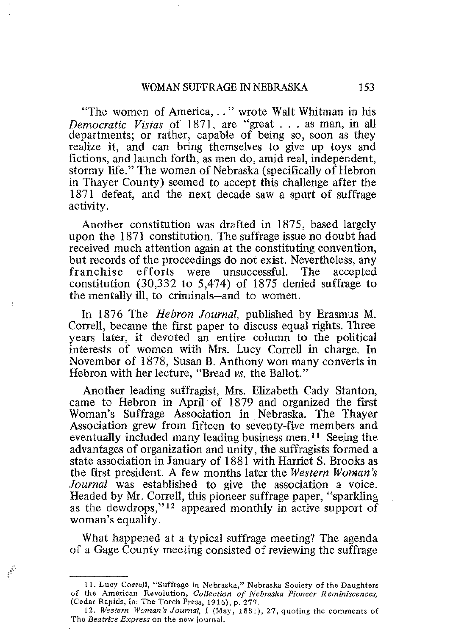#### WOMAN SUFFRAGE IN NEBRASKA 153

"The women of America, .. " wrote Walt Whitman in his *Democratic Vistas* of 1871, are "great ... as man, in **all**  departments; or rather, capable of being so, soon as they realize it, and can bring themselves to give up toys and fictions, and launch forth, as men do, amid real, independent, stormy life." The women of Nebraska (specifically of Hebron in Thayer County) seemed to accept this challenge after the 1871 defeat, and the next decade saw a spurt of suffrage activity.

Another constitution was drafted in 1875, based largely upon the 1871 constitution. The suffrage issue no doubt had received much attention again at the constituting convention, but records of the proceedings do not exist. Nevertheless, any franchise efforts were unsuccessful. The accepted  $efforts$  were unsuccessful. The constitution (30,332 to 5,474) of 1875 denied suffrage to the mentally ill, to criminals-and to women.

In 1876 The *Hebron Journal,* published by Erasmus M. Correll, became the first paper to discuss equal rights. Three years later, it devoted an entire column to the political interests of women with Mrs. Lucy Correll in charge. **In**  November of 1878, Susan B. Anthony won many converts in Hebron with her lecture, "Bread *vs.* the Ballot."

Another leading suffragist, Mrs. Elizabeth Cady Stanton, came to Hebron in April' of 1879 and organized the first Woman's Suffrage Association in, Nebraska. The Thayer Association grew from fifteen to seventy-five members and eventually included many leading business men. II Seeing the advantages of organization and unity, the suffragists formed a state association in January of 1881 with Harriet S. Brooks as the first president. A few months later the *Western Woman's Journal* was established to give the association a voice. Headed by Mr. Correll, this pioneer suffrage paper, "sparkling as the dewdrops,"<sup>12</sup> appeared monthly in active support of woman's equality.

What happened at a typical suffrage meeting? The agenda of a Gage County meeting consisted of reviewing the suffrage

**<sup>11.</sup> Lucy** Correll, **"Suffrage in Nebraska," Nebraska Society of the Daughters of the American Revolution,** *Collection of Nebraska Pioneer Reminiscences,*  (Cedar Rapids, Ia: The Torch Press, 1916), p. 277.

**<sup>12.</sup> Western Woman's Journal, I (May, 1881),27, quoting the comments of The** *Beatrice Express* **on the new journal.**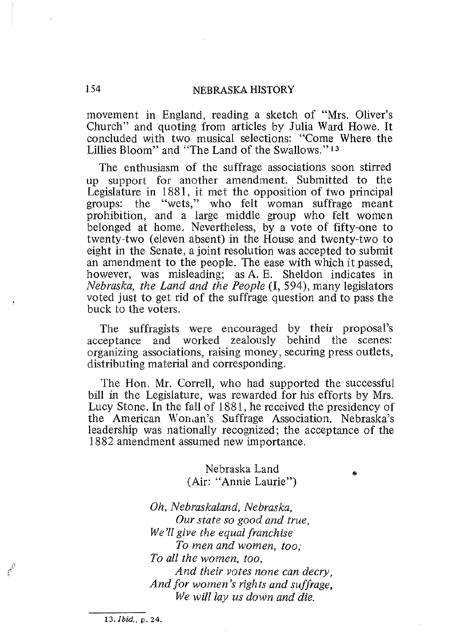movement in England, reading a sketch of "Mrs, Oliver's Church" and quoting from articles by Julia Ward Howe, It concluded with two musical selections: "Come Where the Lillies Bloom" and "The Land of the Swallows," 13

The enthusiasm of the suffrage associations soon stirred up support for another amendment. Submitted to the Legislature in 1881, it met the opposition of two principal groups: the "wets," who felt woman suffrage meant prohibition, and a large middle group who felt women belonged at home, Nevertheless, by a vote of fifty-one to twenty-two (eleven absent) in the House and twenty-two to eight in the Senate, a joint resolution was accepted to submit an amendment to the people, The ease with which it passed, however, was misleading; as A, E. Sheldon indicates in *Nebraska, the Land and the People* (1, 594), many legislators voted just to get rid of the suffrage question and to pass the buck to the voters,

The suffragists were encouraged by their proposal's acceptance and worked zealously behind the scenes: organizing associations, raising money, securing press outlets, distributing material and corresponding,

The Hen. Mr. Correll, who had supported the successful bill in the Legislature, was rewarded for his efforts by Mrs. Lucy Stone, In the fall of 1881, he received the presidency of the American Won.an's Suffrage Association, Nebraska's leadership was nationally recognized; the acceptance of the 1882 amendment assumed new importance,

Nebraska Land • (Air: "Annie Laurie")

*Oh, Nebraskaland, Nebraska, Our state so good and true, We'll give the equal franchise To men and women, too; To all the women, too, And their votes none can decry, And for women's rights and suffrage, We will lay us down and die,* 

13. *Ibid.*, p. 24.

 $\boldsymbol{f}^{\boldsymbol{\lambda}^k}$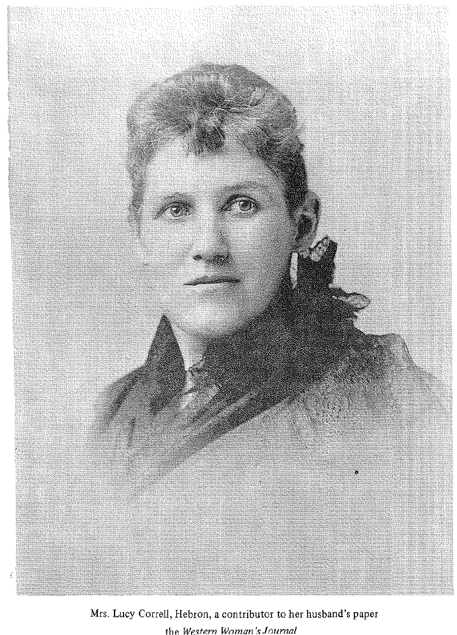

Mrs. Lucy Correll, Hebron, a contributor to her husband's paper the *Western woman* **'s:** *Journal*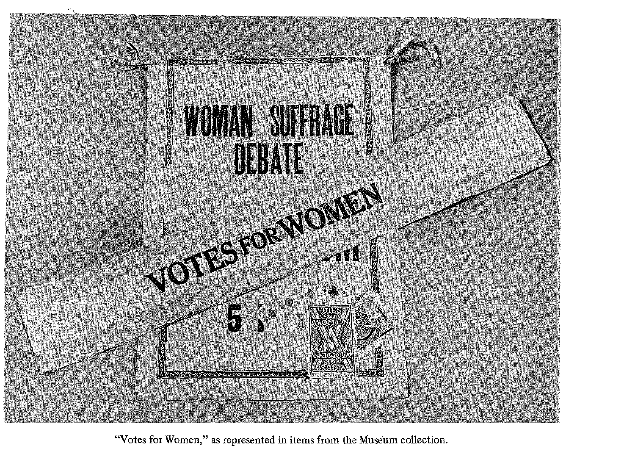

"Votes for Women," as represented in items from the Museum collection.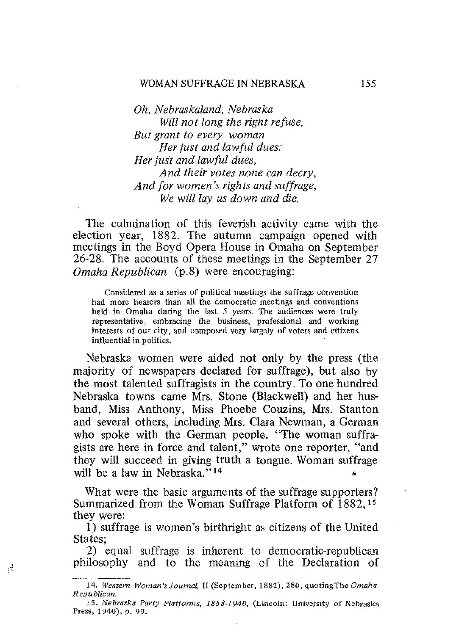*Oh, Nebraskaland, Nebraska Will not long the right refuse, But grant to every woman Her just and lawful dues: Her just and lawful dues, And their votes none can decry, And for women's rights and suffrage, We will lay us down and die.* 

The culmination of this feverish activity came with the election year, 1882. The autumn campaign opened with meetings in the Boyd Opera House in Omaha on September 26-28. The accounts of these meetings in the September 27 *Omaha Republican* (p.8) were encouraging:

**Considered as a series of political meetings the suffrage convention had more hearers than all the democratic meetings and conventions held in Omaha during the last 5 years. The audiences were truly representative, embracing the business, professional and working interests of our city, and composed very largely of voters and citizens influential in politics.** 

Nebraska women were aided not only by the press (the majority of newspapers declared for suffrage), but also by the most talented suffragists in the country. To one hundred Nebraska towns came Mrs. Stone (Blackwell) and her husband, Miss Anthony, Miss Phoebe Couzins, Mrs. Stanton and several others, including Mrs. Clara Newman, a German who spoke with the German people. "The woman suffragists are here in force and talent," wrote one reporter, "and they will succeed in giving truth a tongue. Woman suffrage will be a law in Nebraska."<sup>14</sup>

What were the basic arguments of the suffrage supporters? Summarized from the Woman Suffrage Platform of 1882,15 they were:

I) suffrage is women's birthright as citizens of the United States;

2) equal suffrage is inherent to democratic-republican philosophy and to the meaning of the Declaration of

 $\epsilon^i$ 

*<sup>14.</sup> Western* Woman's Journal, **11(September, 1882),280,** quoting The *Omaha Republican.* 

*<sup>15.</sup> Nebraska Party Platforms, 1858-1940,* **(Lincoln: University of Nebraska Press, 1940),** p. **99.**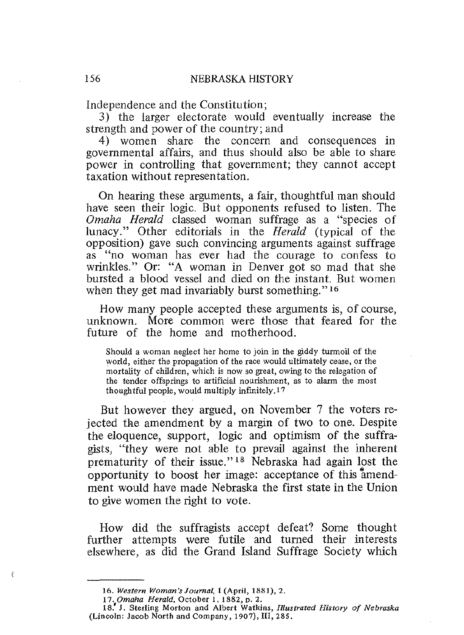Independence and the Constitution;

3) the larger electorate would eventually increase the strength and power of the country; and

4) women share the concern and consequences in governmental affairs, and thus should also be able to share power in controlling that government; they cannot accept taxation without representation.

On hearing these arguments, a fair, thoughtful man should have seen their logic. But opponents refused to listen. The *Omaha Herald* classed woman suffrage as a "species of lunacy." Other editorials in the *Herald* (typical of the opposition) gave such convincing arguments against suffrage as "no woman has ever had the courage to confess to wrinkles." Or: "A woman in Denver got so mad that she bursted a blood vessel and died on the instant. But women when they get mad invariably burst something."<sup>16</sup>

How many people accepted these arguments is, of course, unknown. More common were those that feared for the future of the home and motherhood.

**Should a woman neglect her home to join in the giddy** turmoil **of the world, either the propagation of the race would ultimately cease, or the mortality of children, which is now so great, owing to the relegation of the tender offsprings to artificial nourishment, as to alarm the most**  thoughtful people, would multiply infinitely.<sup>17</sup>

But however they argued, on November 7 the voters rejected the amendment by a margin of two to one. Despite the eloquence, support, logic and optimism of the suffragists, "they were not able to prevail against the inherent prematurity of their issue." 18 Nebraska had again lost the opportunity to boost her image: acceptance of this 'amendment would have made Nebraska the first state in the Union to give women the right to vote.

How did the suffragists accept defeat? Some thought further attempts were futile and turned their interests elsewhere, as did the Grand Island Suffrage Society which

**<sup>16.</sup> Western Woman'sJournal, I (April, 1881),2,** 

<sup>17.</sup> Omaha Herald, October 1, 1882, p. 2.

**<sup>18.&#</sup>x27; J. Sterling Morton and Albert Watkins,** *Illustrated History of Nebraska*  **(Lincoln: Jacob North and Company, 1907), III, 285.**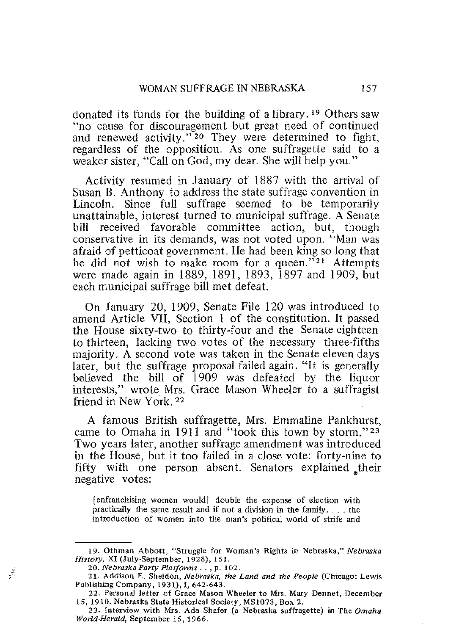donated its funds for the building of a library. 19 Others saw "no cause for discouragement but great need of continued and renewed activity."<sup>20</sup> They were determined to fight, regardless of the opposition. As one suffragette said to a weaker sister, "Call on God, my dear. She will help you."

Activity resumed in January of 1887 with the arrival of Susan B. Anthony to address the state suffrage convention in Lincoln. Since full suffrage seemed to be temporarily unattainable, interest turned to municipal suffrage. A Senate bill received favorable committee action, but, though conservative in its demands, was not voted upon. "Man was afraid of petticoat government. He had been king so long that he did not wish to make room for a queen."<sup>21</sup> Attempts were made again in 1889, 1891, 1893, 1897 and 1909, but each municipal suffrage bill met defeat.

On January 20,1909, Senate File 120 was introduced to amend Article VII, Section I of the constitution. It passed the House sixty-two to thirty-four and the Senate eighteen to thirteen, lacking two votes of the necessary three-fifths majority. A second vote was taken in the Senate eleven days later, but the suffrage proposal failed again. "It is generally believed the bill of 1909 was defeated by the liquor interests," wrote Mrs. Grace Mason Wheeler to a suffragist friend in New York. 22

A famous British suffragette, Mrs. Emmaline Pankhurst, came to Omaha in 1911 and "took this town by storm." $23$ Two years later, another suffrage amendment was introduced in the House, but it too failed in a close vote: forty-nine to fifty with one person absent. Senators explained their negative votes:

**(enfranchising women would} double the expense of election with practically the same result and if not a division in the family.** . .. **the introduction of women into the man's political world of strife and** 

**<sup>19.</sup> Othman Abbott, "Struggle for Woman's Rights in Nebraska,"** *Nebraska History,* **XI (July-September, 1928), 151.** 

*<sup>20.</sup> Nebraska Party Platforms .* **. ,** p. **102.** 

*<sup>11.</sup>* **Addison E. Sheldon,** *Nebraska, the Land and the People* **(Chicago: Lewis Publishing Company, 1931), I, 642-643.** 

**<sup>22.</sup> Personal letter of Grace Mason Wheeler to Mrs. Mary Dennet, December IS, 1910. Nebraska State Historical Society, MS10'73, Box 2.** 

**<sup>23.</sup> Interview with Mrs. Ada Shafer (3 Nebraska suffragette) in The Omaha**  *wona-neraa,* **September 15, 1966.**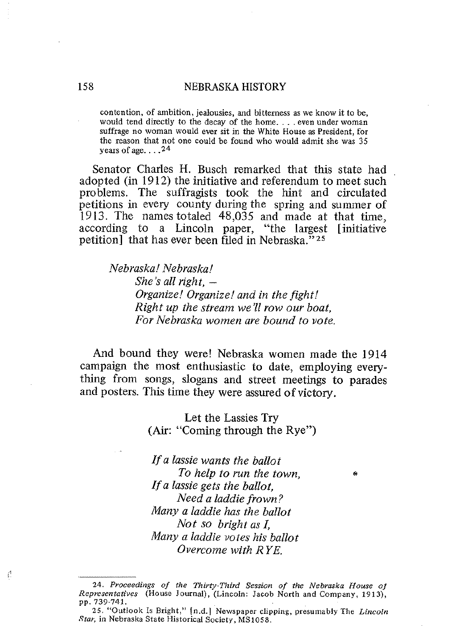**contention, of ambition, jealousies, and bitterness as we know it to be, would tend directly to the decay of the home.... even under woman suffrage no woman would ever sit in the White House as President, for the reason that not one could be found who would admit she was 35 yearsof age.... <sup>24</sup>**

Senator Charles H. Busch remarked that this state had adopted (in 1912) the initiative and referendum to meet such problems. The suffragists took the hint and circulated petitions in every county during the spring and summer of 1913. The names totaled 48,035 and made at that time, according to a Lincoln paper, "the largest [initiative petition] that has ever been filed in Nebraska." $25$ 

*Nebraska! Nebraska! She's all right, Organize! Organize! and in the fight! Right up the stream we'll row our boat, For Nebraska women are bound to vote.* 

And bound they were! Nebraska women made the 1914 campaign the most enthusiastic to date, employing everything from songs, slogans and street meetings to parades and posters. This time they were assured of victory.

> Let the Lassies Try (Air: "Coming through the Rye")

*If a lassie wants the ballot To help to run the town,* • *Ifa lassie gets the ballot, Need a laddie frown? Many a laddie has the ballot Not so bright as I, Many a laddie votes his ballot Overcome with RYE.* 

 $\mathcal{L}$ 

*<sup>24.</sup> Proceedings of the Thirty-Third Session of the Nebraska House OJ Representatives* **(House Journal), (Lincoln: Jacob North and Company, 1913), pp.739-741.** 

**<sup>25. &</sup>quot;Outlook Is Bright,"** [n.d.] **Newspaper clipping, presumably The** *Lincoln*  **Star, in Nebraska State Historical Society, MS 1058.**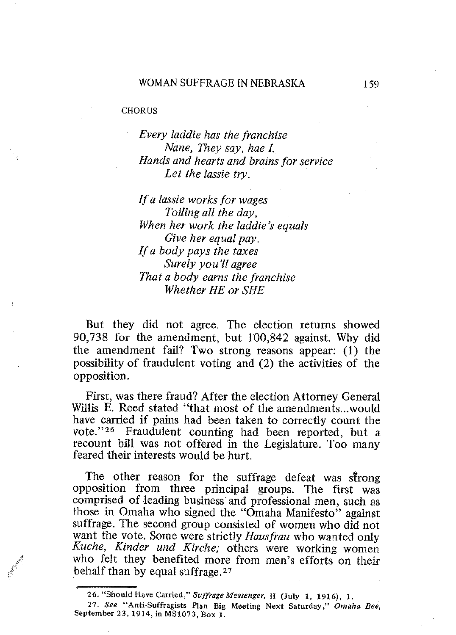#### **CHORUS**

*Every laddie has the franchise Nane, They say, hae I Hands and hearts and brains for service Let the lassie try.* 

*Ifa lassie works for wages Toiling all the day, When her work the laddie's equals Give her equal pay. Ifa body pays the taxes Surely you 'll agree That a body earns the franchise Whether HE or SHE* 

But they did not agree. The election returns showed 90,738 for the amendment, but 100,842 against. Why did the amendment fail? Two strong reasons appear: (I) the possibility of fraudulent voting and (2) the activities of the opposition.

First, was there fraud? After the election Attorney General Willis E. Reed stated "that most of the amendments...would have carried if pains had been taken to correctly count the vote."26 Fraudulent counting had been reported, but a recount bill was not offered in the Legislature. Too many feared their interests would be hurt.

The other reason for the suffrage defeat was strong opposition from three principal groups. The first was comprised of leading business' and professional men, such as those in Omaha who signed the "Omaha Manifesto" against suffrage. The second group consisted of women who did not want the vote. Some were strictly *Hausfrau* who wanted only *Kuche, Kinder und Kirche;* others were working women who felt they benefited more from men's efforts on their behalf than by equal suffrage. 27

**<sup>26. &</sup>quot;Should Have Carried,"** *SUffrage Messenger,* **II (July 1, 1916), 1.** 

**<sup>27.</sup> See "Anti-Suffragists Plan Big Meeting Next Saturday,"** Omaha Bee, September 23, 1914, in MS1073, Box 1.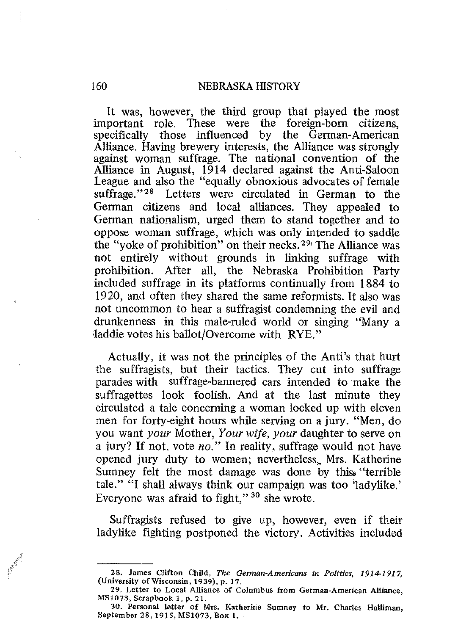It was, however, the third group that played the most important role. These were the foreign-born citizens, specifically those influenced by the German-American Alliance. Having brewery interests, the Alliance was strongly against woman suffrage. The national convention of the Alliance in August, 1914 declared against the Anti-Saloon League and also the "equally obnoxious advocates of female suffrage."<sup>28</sup> Letters were circulated in German to the German citizens and local alliances. They appealed to German nationalism, urged them to stand together and to oppose woman suffrage, which was only intended to saddle the "voke of prohibition" on their necks.<sup>29</sup> The Alliance was not entirely without grounds in linking suffrage with prohibition. After all, the Nebraska Prohibition Party included suffrage in its platforms continually from 1884 to 1920, and often they shared the same reformists. It also was not uncommon to hear a suffragist condemning the evil and drunkenness in this male-ruled world or singing "Many a -laddie votes his ballot/Overcome with RYE."

Actually, it was not the principles of the Anti's that hurt the suffragists, but their tactics. They cut into suffrage parades with suffrage-bannered cars intended to make the suffragettes look foolish. And at the last minute they circulated a tale concerning a woman locked up with eleven men for forty-eight hours while serving on a jury. "Men, do you want *your* Mother, *Your wife, your* daughter to serve on a jury? If not, vote *no."* In reality, suffrage would not have opened jury duty to women; nevertheless, Mrs. Katherine Sumney felt the most damage was done by this "terrible" tale." "I shall always think our campaign was too 'ladylike.' Everyone was afraid to fight," 30 she wrote.

Suffragists refused to give up, however, even if their ladylike fighting postponed the victory. Activities included

**<sup>28.</sup> James Clifton Child, The** *German-Americans* **in Politics, 1914·1917, (University** of Wisconsin, **1939), p. 17.** 

**<sup>29.</sup> Letter to Local Alliance of Columbus from** Germen-Amertcan **Alliance, MSI073, Scrapbook 1, p. 21.** 

**<sup>30.</sup> Personal letter of Mrs. Katherine Sumney to Mr. Charles Halliman, September 28, 1915, MSI073, Box 1.**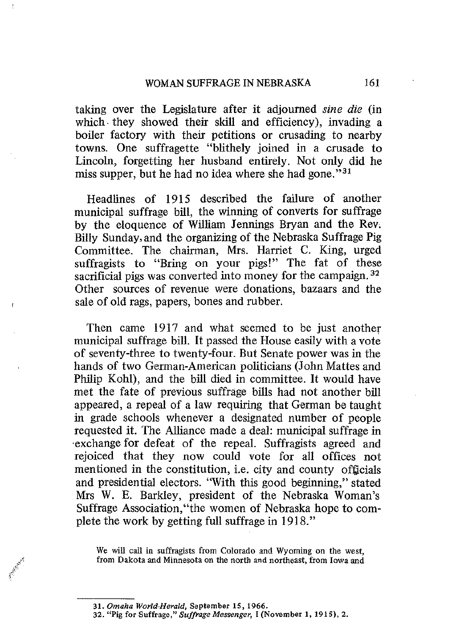taking over the Legislature after it adjourned *sine die* (in which. they showed their skill and efficiency), invading a boiler factory with their petitions or crusading to nearby towns. One suffragette "blithely joined in a crusade to Lincoln, forgetting her husband entirely. Not only did he miss supper, but he had no idea where she had gone." $31$ 

Headlines of 1915 described the failure of another municipal suffrage bill, the winning of converts for suffrage by the eloquence of William Jennings Bryan and the Rev, Billy Sunday, and the organizing of the Nebraska Suffrage Pig Committee. The chairman, Mrs. Harriet C. King, urged suffragists to "Bring on your pigs!" The fat of these sacrificial pigs was converted into money for the campaign.<sup>32</sup> Other sources of revenue were donations, bazaars and the sale of old rags, papers, bones and rubber.

Then came 1917 and what seemed to be just another municipal suffrage bill. It passed the House easily with a vote of seventy-three to twenty-four. But Senate power was in the hands of two German-American politicians (John Mattes and Philip Kohl), and the bill died in committee. It would have met the fate of previous suffrage bills had not another bill appeared, a repeal of a law requiring that German be taught in grade schools whenever a designated number of people requested it. The Alliance made a deal: municipal suffrage in 'exchange for defeat of the repeal. Suffragists agreed and rejoiced that they now could vote for all offices not mentioned in the constitution, i.e. city and county officials and presidential electors. "With this good beginning," stated Mrs W. E. Barkley, president of the Nebraska Woman's Suffrage Association,"the women of Nebraska hope to complete the work by getting full suffrage in 1918."

**We will call in suffragists from Colorado and Wyoming on the west, from Dakotaand Minnesota on the north andnortheast, from Iowaand** 

*<sup>31.</sup> Omaha World-Herald,* **September 15, 1966.** 

**<sup>32. &</sup>quot;Pig for Suffrage,"** *Suffrage Messenger,* **I (November I, 1915), 2.**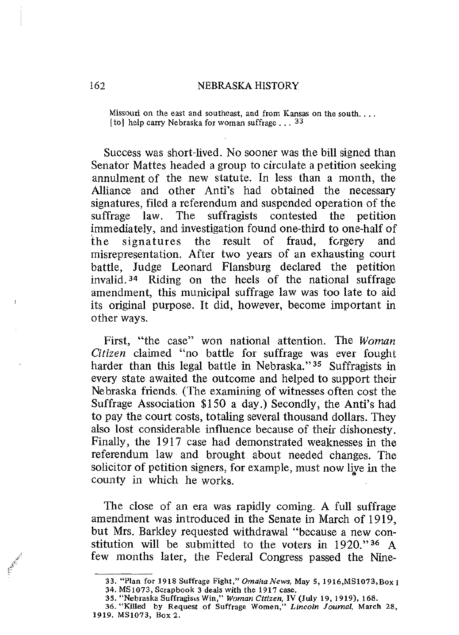**Missouri on the east and southeast, and from Kansas on the south.** . . . **[to] help carry Nebraska for woman suffrage ... 33** 

Success was short-lived. No sooner was the bill signed than Senator Mattes headed a group to circulate a petition seeking annulment of the new statute. In less than a month, the Alliance and other Anti's had obtained the necessary signatures, filed a referendum and suspended operation of the suffrage law. The suffragists contested the petition immediately, and investigation found one-third to one-half of the signatures the result of fraud, forgery and misrepresentation. After two years of an exhausting court battle, Judge Leonard Flansburg declared the petition invalid. 34 Riding on the heels of the national suffrage amendment, this municipal suffrage law was too late to aid its original purpose. It did, however, become important in other ways.

First, "the case" won national attention. The *Woman Citizen* claimed "no battle for suffrage was ever fought harder than this legal battle in Nebraska."<sup>35</sup> Suffragists in every state awaited the outcome and helped to support their Nebraska friends. (The examining of witnesses often cost the Suffrage Association \$I 50 a day.) Secondly, the Anti's had to pay the court costs, totaling several thousand dollars. They also lost considerable influence because of their dishonesty. Finally, the 1917 case had demonstrated weaknesses in the referendum law and brought about needed changes. The solicitor of petition signers, for example, must now live in the county in which he works.

The close of an era was rapidly coming. A full suffrage amendment was introduced in the Senate in March of 19I9, but Mrs. Barkley requested withdrawal "because a new constitution will be submitted to the voters in 1920."36 A few months later, the Federal Congress passed the Nine-

**<sup>33. &</sup>quot;Plan for 1918 Suffrage Fight,"** *Omaha News,* **May 5, 1916,MSIO?3,Box 1 34. MS1073, Scrapbook 3 deals with the 191? case.** 

**<sup>35. &</sup>quot;Nebraska** Suffragiscs **Win," Woman Citizen, IV (July 19. 1919), 168. 36. "Killed by Request of Suffrage Women," Lincoln Journal. March 28, 1919. MSI073, Box 2.**